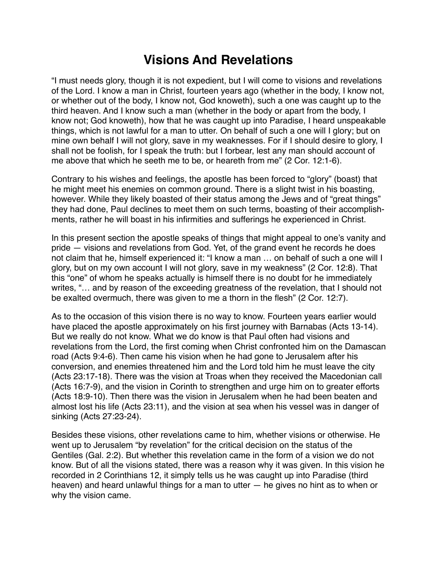## **Visions And Revelations**

"I must needs glory, though it is not expedient, but I will come to visions and revelations of the Lord. I know a man in Christ, fourteen years ago (whether in the body, I know not, or whether out of the body, I know not, God knoweth), such a one was caught up to the third heaven. And I know such a man (whether in the body or apart from the body, I know not; God knoweth), how that he was caught up into Paradise, I heard unspeakable things, which is not lawful for a man to utter. On behalf of such a one will I glory; but on mine own behalf I will not glory, save in my weaknesses. For if I should desire to glory, I shall not be foolish, for I speak the truth: but I forbear, lest any man should account of me above that which he seeth me to be, or heareth from me" (2 Cor. 12:1-6).

Contrary to his wishes and feelings, the apostle has been forced to "glory" (boast) that he might meet his enemies on common ground. There is a slight twist in his boasting, however. While they likely boasted of their status among the Jews and of "great things" they had done, Paul declines to meet them on such terms, boasting of their accomplishments, rather he will boast in his infirmities and sufferings he experienced in Christ.

In this present section the apostle speaks of things that might appeal to one's vanity and pride — visions and revelations from God. Yet, of the grand event he records he does not claim that he, himself experienced it: "I know a man … on behalf of such a one will I glory, but on my own account I will not glory, save in my weakness" (2 Cor. 12:8). That this "one" of whom he speaks actually is himself there is no doubt for he immediately writes, "… and by reason of the exceeding greatness of the revelation, that I should not be exalted overmuch, there was given to me a thorn in the flesh" (2 Cor. 12:7).

As to the occasion of this vision there is no way to know. Fourteen years earlier would have placed the apostle approximately on his first journey with Barnabas (Acts 13-14). But we really do not know. What we do know is that Paul often had visions and revelations from the Lord, the first coming when Christ confronted him on the Damascan road (Acts 9:4-6). Then came his vision when he had gone to Jerusalem after his conversion, and enemies threatened him and the Lord told him he must leave the city (Acts 23:17-18). There was the vision at Troas when they received the Macedonian call (Acts 16:7-9), and the vision in Corinth to strengthen and urge him on to greater efforts (Acts 18:9-10). Then there was the vision in Jerusalem when he had been beaten and almost lost his life (Acts 23:11), and the vision at sea when his vessel was in danger of sinking (Acts 27:23-24).

Besides these visions, other revelations came to him, whether visions or otherwise. He went up to Jerusalem "by revelation" for the critical decision on the status of the Gentiles (Gal. 2:2). But whether this revelation came in the form of a vision we do not know. But of all the visions stated, there was a reason why it was given. In this vision he recorded in 2 Corinthians 12, it simply tells us he was caught up into Paradise (third heaven) and heard unlawful things for a man to utter — he gives no hint as to when or why the vision came.